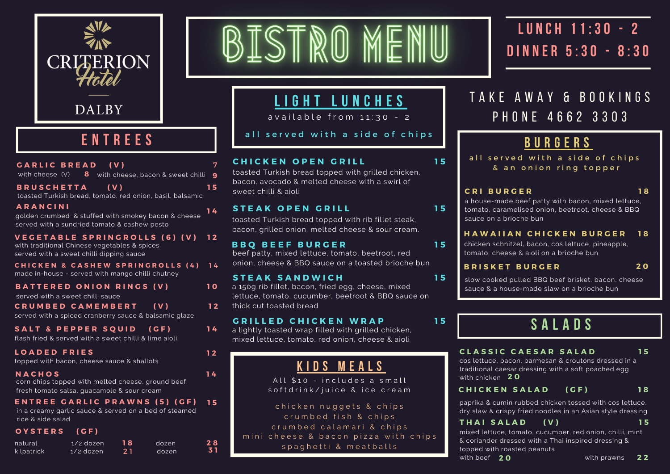

### **E N T R E E S**

| GARLIC BREAD (V)                                                                                                                 |                          |          | with cheese $(V)$ 8 with cheese, bacon & sweet chilli     | 7<br>9   |
|----------------------------------------------------------------------------------------------------------------------------------|--------------------------|----------|-----------------------------------------------------------|----------|
| <b>BRUSCHETTA</b>                                                                                                                |                          | (V)      | toasted Turkish bread, tomato, red onion, basil, balsamic | 15       |
| ARANCINI<br>served with a sundried tomato & cashew pesto                                                                         |                          |          | golden crumbed & stuffed with smokey bacon & cheese       | 14       |
| <b>VEGETABLE SPRINGROLLS (6) (V)</b><br>with traditional Chinese vegetables & spices<br>served with a sweet chilli dipping sauce |                          |          |                                                           | 12       |
| made in-house - served with mango chilli chutney                                                                                 |                          |          | CHICKEN & CASHEW SPRINGROLLS (4)                          | 14       |
| <b>BATTERED ONION RINGS (V)</b><br>served with a sweet chilli sauce                                                              |                          |          |                                                           | 10       |
| <b>CRUMBED CAMEMBERT</b><br>served with a spiced cranberry sauce & balsamic glaze                                                |                          |          | ( V )                                                     | 12       |
| SALT & PEPPER SQUID (GF)<br>flash fried & served with a sweet chilli & lime aioli                                                |                          |          |                                                           | 14       |
| <b>LOADED FRIES</b><br>topped with bacon, cheese sauce & shallots                                                                |                          |          |                                                           | 12       |
| <b>NACHOS</b><br>corn chips topped with melted cheese, ground beef,<br>fresh tomato salsa, quacamole & sour cream                |                          |          |                                                           | 14       |
| ENTREE GARLIC PRAWNS (5) (GF)<br>rice & side salad                                                                               |                          |          | in a creamy garlic sauce & served on a bed of steamed     | 15       |
| OYSTERS (GF)                                                                                                                     |                          |          |                                                           |          |
| natural<br>kilpatrick and                                                                                                        | 1/2 dozen<br>$1/2$ dozen | 18<br>21 | dozen<br>dozen                                            | 28<br>31 |

# BISTRO MENU

### **L I G H T L U N C H E S**

 $a$  v ailable from  $11:30 - 2$ 

all served with a side of chips

#### **C H I C K E N O P E N G R I L L**

toasted Turkish bread topped with grilled chicken, bacon, avocado & melted cheese with a swirl of sweet chilli & aioli

#### **S T E A K O P E N G R I L L**

toasted Turkish bread topped with rib fillet steak, bacon, grilled onion, melted cheese & sour cream.

#### **B B Q B E E F B U R G E R**

beef patty, mixed lettuce, tomato, beetroot, red onion, cheese & BBQ sauce on a toasted brioche bun

#### **S T E A K S A N D W I C H**

a 150g rib fillet, bacon, fried egg, cheese, mixed lettuce, tomato, cucumber, beetroot & BBQ sauce on thick cut toasted bread

#### **G R I L L E D C H I C K E N W R A P 1 5**

a lightly toasted wrap filled with grilled chicken, mixed lettuce, tomato, red onion, cheese & aioli

### **K I D S M E A L S**

All \$10 - includes a small s of t d r in k / juice & ice\_cream

chicken nuggets & chips crumbed fish & chips crumbed calamari & chips mini cheese & bacon pizza with chips s p a g h e t t i & m e a t b alls

# **LU N C H 11:30 - 2 D I N N E R 5:30 - 8:30**

### TAKE AWAY & BOOKINGS P H O N E 4 6 6 2 3 3 0 3

### **B U R G E R S**

all served with a side of chips & an onion ring topper

#### **C R I B U R G E R**

**1 5**

**1 5**

**1 5**

**1 5**

**1 8**

a house-made beef patty with bacon, mixed lettuce, tomato, caramelised onion, beetroot, cheese & BBQ sauce on a brioche bun

#### **1 8 H A W A I I A N C H I C K E N B U R G E R**

chicken schnitzel, bacon, cos lettuce, pineapple, tomato, cheese & aioli on a brioche bun

#### **B R I S K E T B U R G E R**

**2 0**

slow cooked pulled BBQ beef brisket, bacon, cheese sauce & a house-made slaw on a brioche bun

# **S A L A D S**

#### **C L A S S I C C A E S A R S A L A D**

**1 5**

**1 8**

cos lettuce, bacon, parmesan & croutons dressed in a traditional caesar dressing with a soft poached egg with chicken **2 0**

#### **C H I C K E N S A L A D ( G F )**

paprika & cumin rubbed chicken tossed with cos lettuce, dry slaw & crispy fried noodles in an Asian style dressing

#### **1 5 T H A I S A L A D ( V )**

mixed lettuce, tomato, cucumber, red onion, chilli, mint & coriander dressed with a Thai inspired dressing & topped with roasted peanuts with beef  $20$ **22 22**